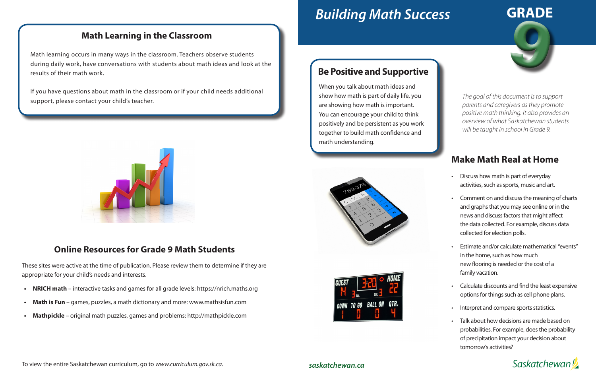# *Building Math Success*

## **Make Math Real at Home**

- Discuss how math is part of everyday activities, such as sports, music and art.
- Comment on and discuss the meaning of charts and graphs that you may see online or in the news and discuss factors that might affect the data collected. For example, discuss data collected for election polls.
- Estimate and/or calculate mathematical "events" in the home, such as how much new flooring is needed or the cost of a family vacation.
- Calculate discounts and find the least expensive options for things such as cell phone plans.
- Interpret and compare sports statistics.
- Talk about how decisions are made based on probabilities. For example, does the probability of precipitation impact your decision about tomorrow's activities?





#### *saskatchewan.ca*

#### **Math Learning in the Classroom**

Math learning occurs in many ways in the classroom. Teachers observe students during daily work, have conversations with students about math ideas and look at the results of their math work.

If you have questions about math in the classroom or if your child needs additional support, please contact your child's teacher.



#### **Online Resources for Grade 9 Math Students**

These sites were active at the time of publication. Please review them to determine if they are appropriate for your child's needs and interests.

- **• NRICH math**  interactive tasks and games for all grade levels: https://nrich.maths.org
- **Math is Fun** games, puzzles, a math dictionary and more: www.mathsisfun.com
- **• Mathpickle**  original math puzzles, games and problems: http://mathpickle.com

### **Be Positive and Supportive**

When you talk about math ideas and show how math is part of daily life, you are showing how math is important. You can encourage your child to think positively and be persistent as you work together to build math confidence and math understanding.





*The goal of this document is to support parents and caregivers as they promote positive math thinking. It also provides an overview of what Saskatchewan students will be taught in school in Grade 9.*